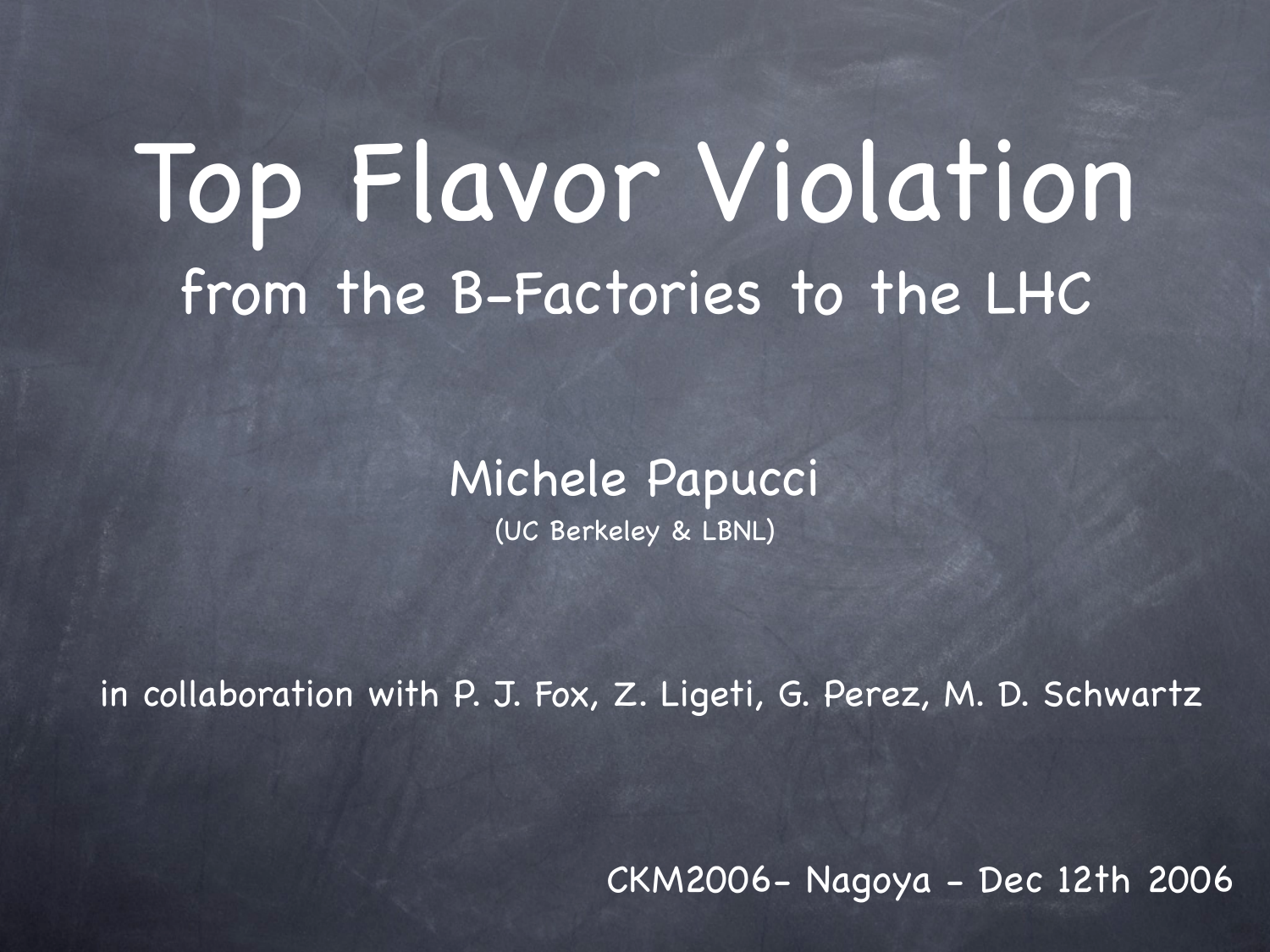# Top Flavor Violation from the B-Factories to the LHC

#### Michele Papucci

(UC Berkeley & LBNL)

in collaboration with P. J. Fox, Z. Ligeti, G. Perez, M. D. Schwartz

CKM2006- Nagoya - Dec 12th 2006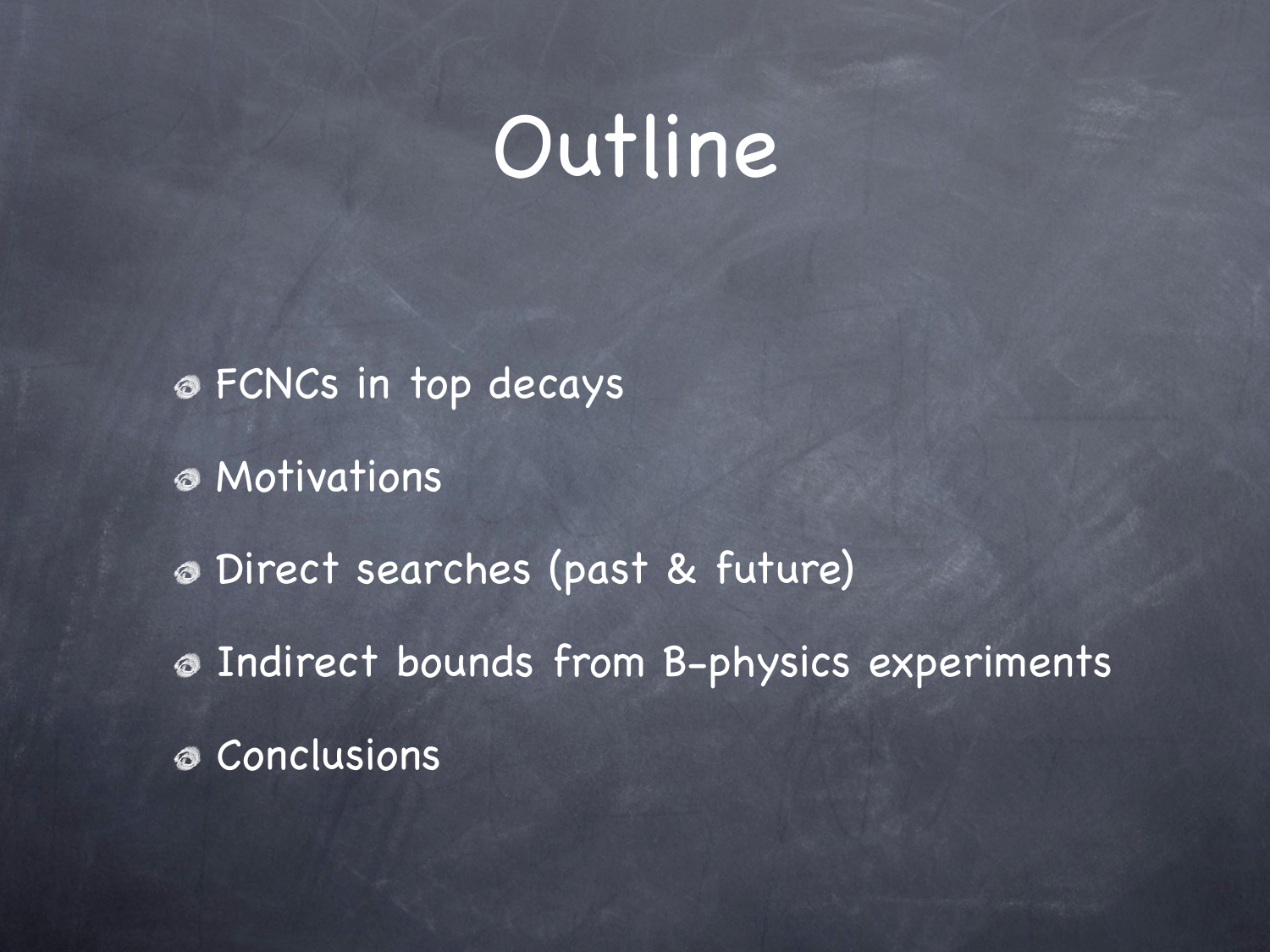### Outline

FCNCs in top decays Motivations Direct searches (past & future) Indirect bounds from B-physics experiments Conclusions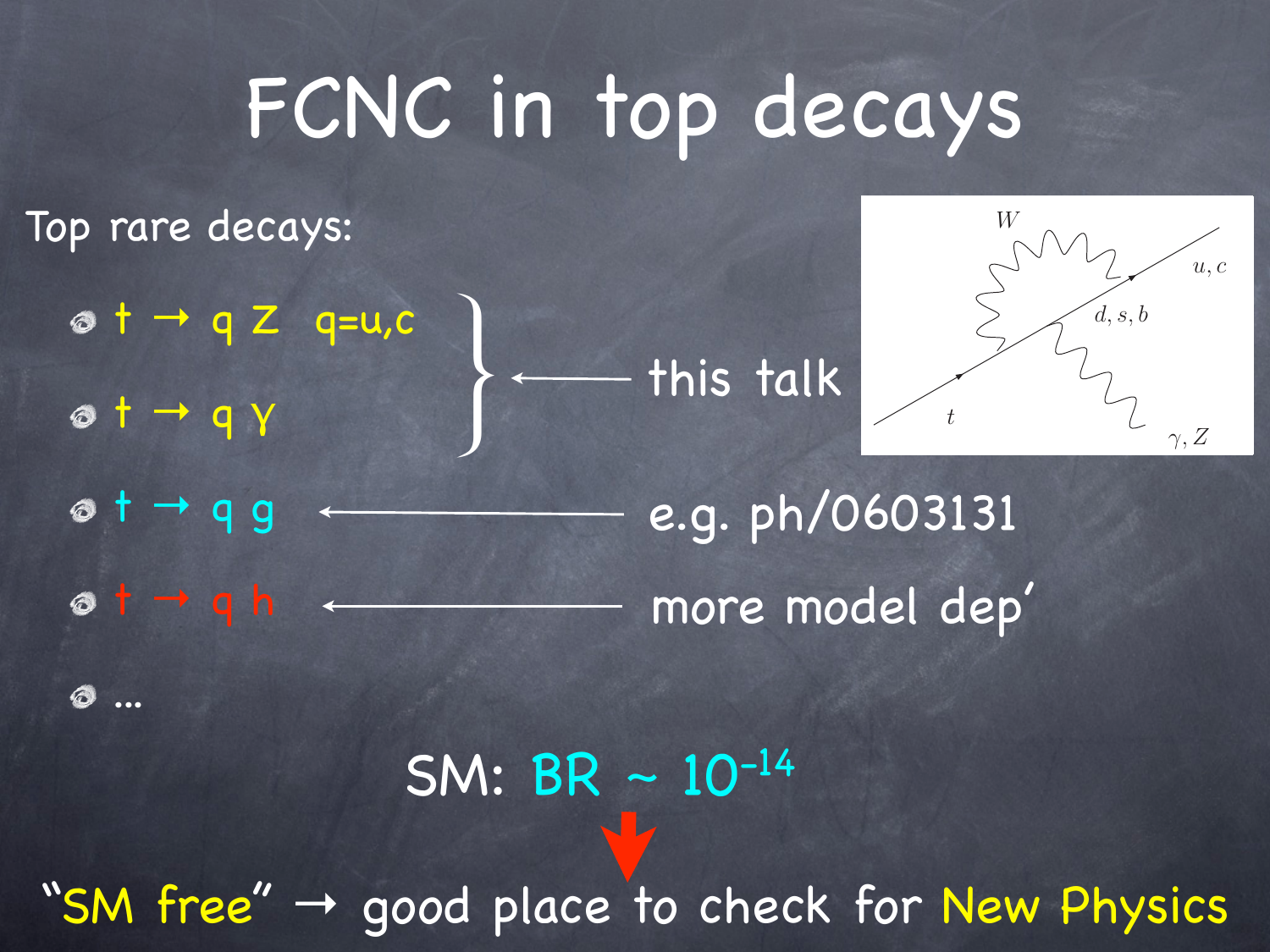## FCNC in top decays

Top rare decays:

 $ot$  +  $\rightarrow$  q Z q=u,c

t → q γ

...

this talk }



 $ot - q g$  $ot$  +  $q h$  + e.g. ph/0603131 more model dep'

 $SM: BR - 10^{-14}$ 

"SM free"  $\rightarrow$  good place to check for New Physics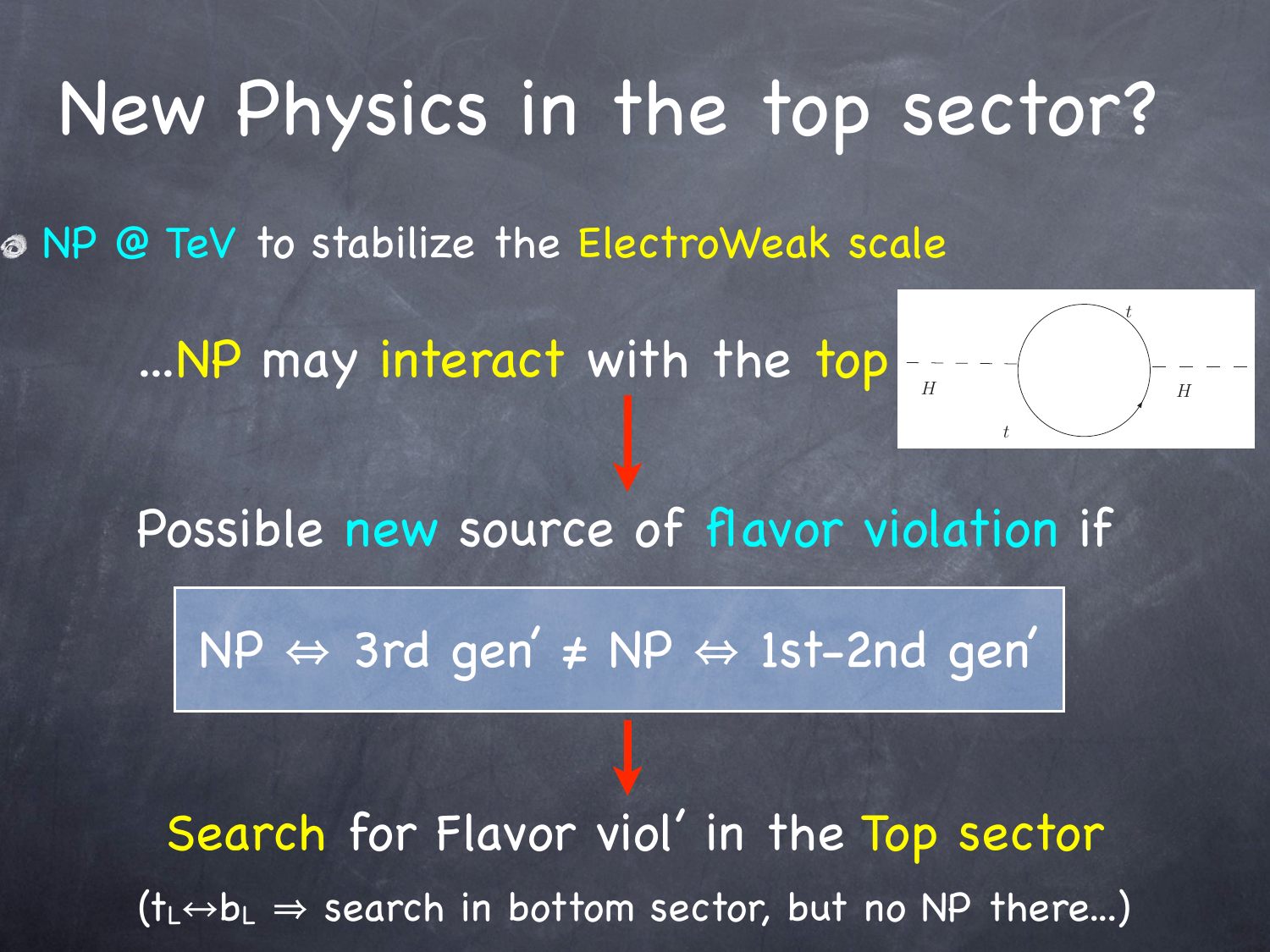### New Physics in the top sector?

NP @ TeV to stabilize the ElectroWeak scale

...NP may interact with the top



Possible new source of flavor violation if

NP ⇔ 3rd gen' ≠ NP ⇔ 1st-2nd gen'

Search for Flavor viol' in the Top sector  $(t_{L}\leftrightarrow b_{L}\Rightarrow$  search in bottom sector, but no NP there...)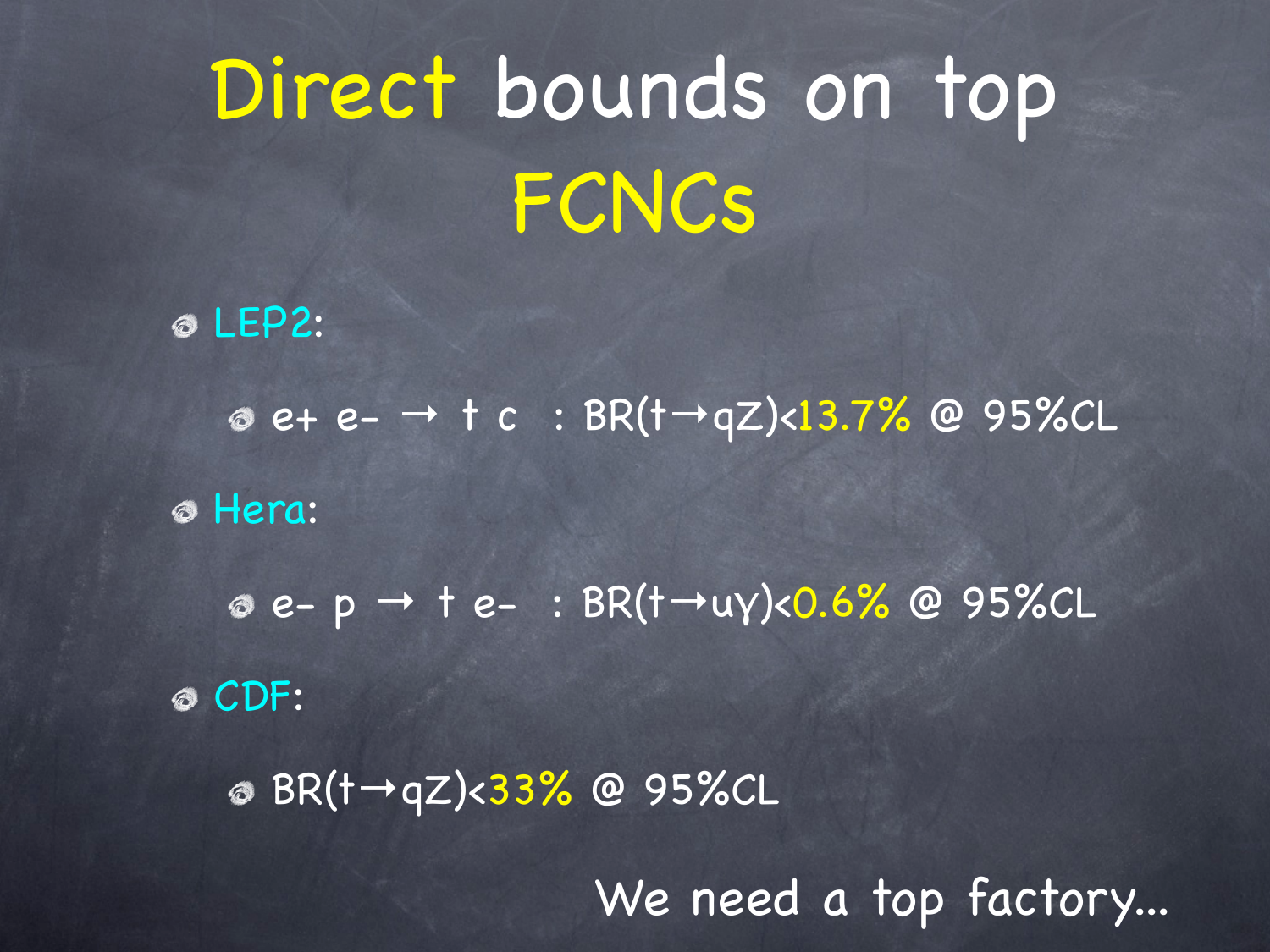# Direct bounds on top FCNCs

LEP2:

e+ e- → t c : BR(t→qZ)<13.7% @ 95%CL

Hera:

e- p → t e- : BR(t→uγ)<0.6% @ 95%CL CDF:

BR(t→qZ)<33% @ 95%CL

We need a top factory...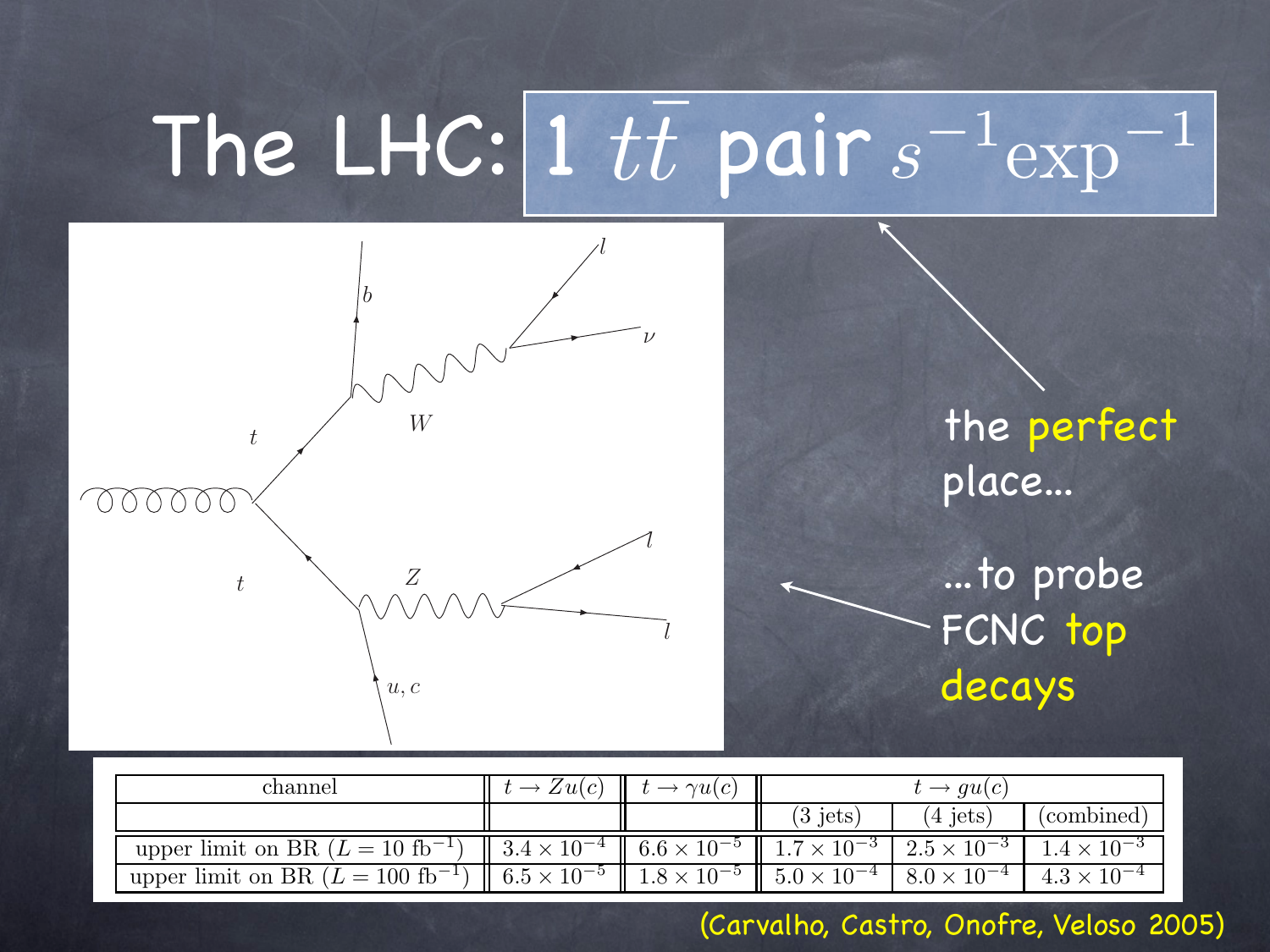#### The LHC:  $1 \ tt$  pair  $s$  $\overline{t\overline{t}}$  $\overline{t}$  pair  $s^{-1}$ exp<sup>−1</sup>



the perfect place...

...to probe FCNC top decays

| channel                                       | $\rightarrow Zu(c)$                                                                                                                       | $\gamma u(c)$        | $t \rightarrow qu(c)$  |                       |                      |
|-----------------------------------------------|-------------------------------------------------------------------------------------------------------------------------------------------|----------------------|------------------------|-----------------------|----------------------|
|                                               |                                                                                                                                           |                      | $3$ jets'              | 4 jets                | (combined)           |
| upper limit on BR $(L = 10 \text{ fb}^{-1})$  | $\parallel$ 3.4 $\times$ 10 <sup>-4</sup> $\parallel$ 6.6 $\times$ 10 <sup>-5</sup> $\parallel$ 1.7 $\times$ 10 <sup>-3</sup> $\parallel$ |                      |                        | $12.5 \times 10^{-3}$ | $1.4 \times 10^{-3}$ |
| upper limit on BR $(L = 100 \text{ fb}^{-1})$ | $6.5 \times 10^{-5}$                                                                                                                      | $1.8 \times 10^{-5}$ | $1.5.0 \times 10^{-4}$ | $8.0 \times 10^{-4}$  | $4.3 \times 10^{-4}$ |

Table 7: The expected 95% confidence level limits on the FCNC top decays branching ratio in the absence (Carvalho, Castro, Onofre, Veloso 2005)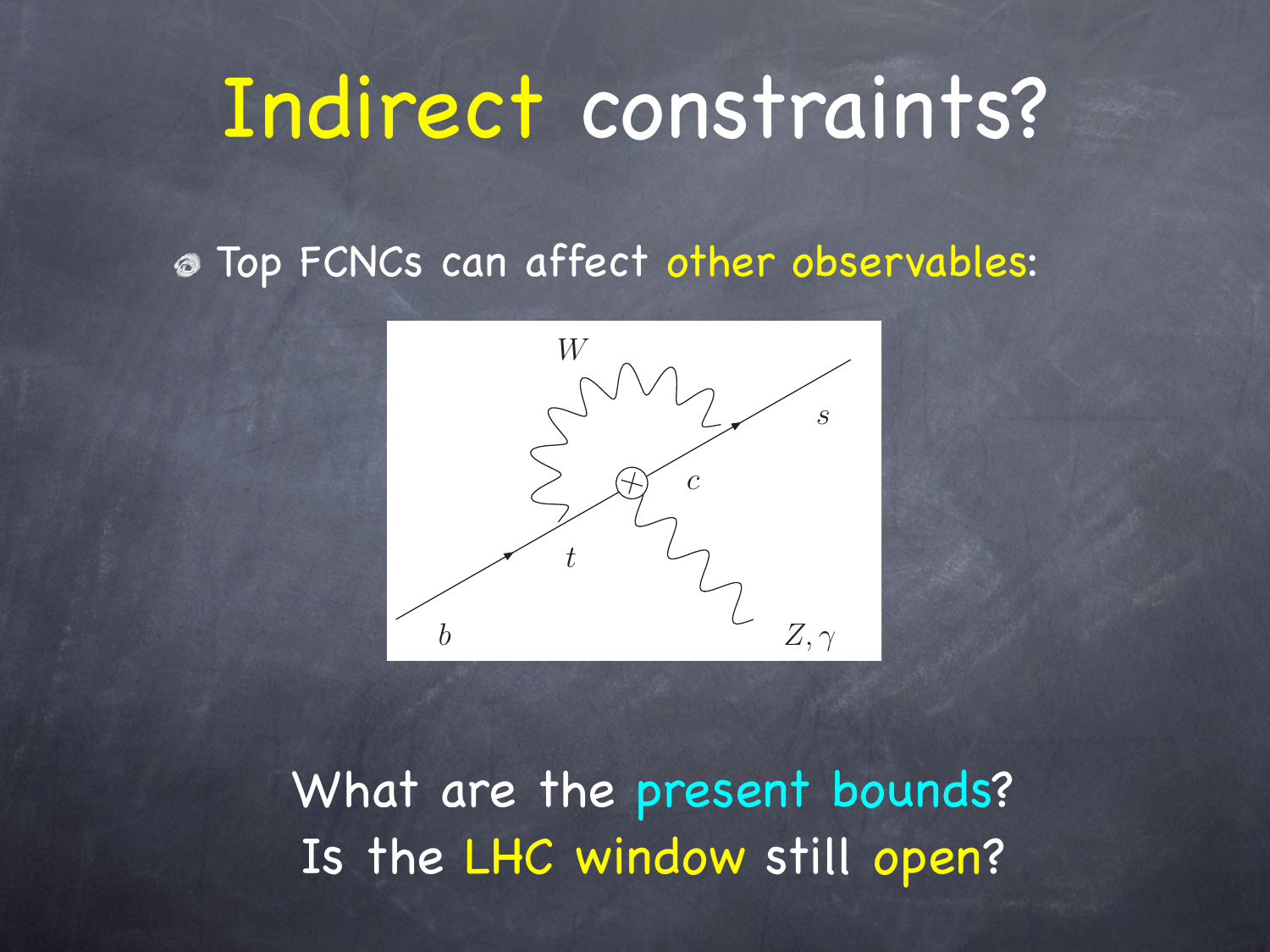## Indirect constraints?

Top FCNCs can affect other observables:



What are the present bounds? Is the LHC window still open?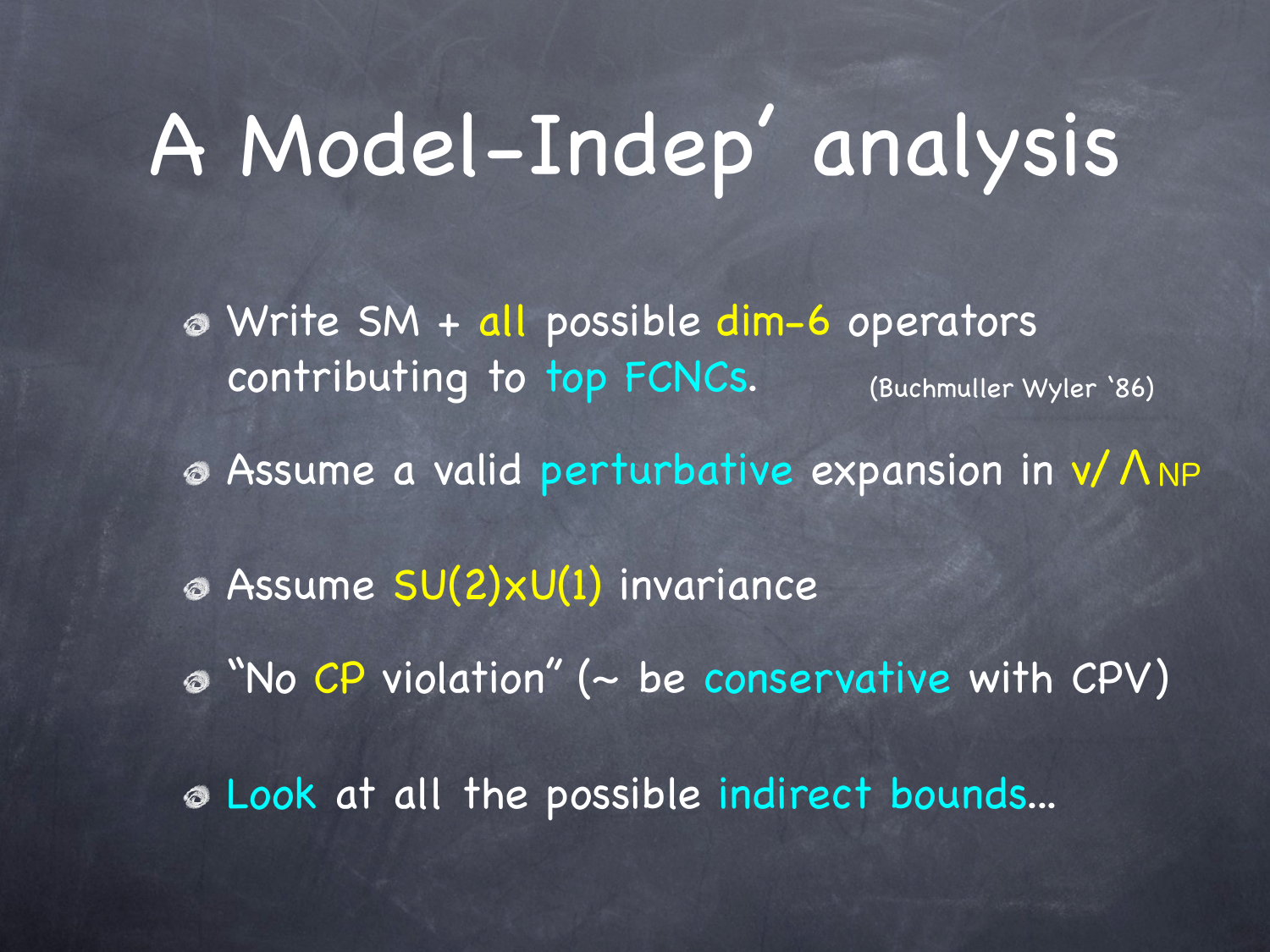## A Model-Indep' analysis

- Write SM + all possible dim-6 operators contributing to top FCNCs. (Buchmuller Wyler '86)
- Assume a valid perturbative expansion in v/ΛNP
- Assume SU(2)xU(1) invariance
- "No CP violation " (~ be conservative with CPV)
- Look at all the possible indirect bounds...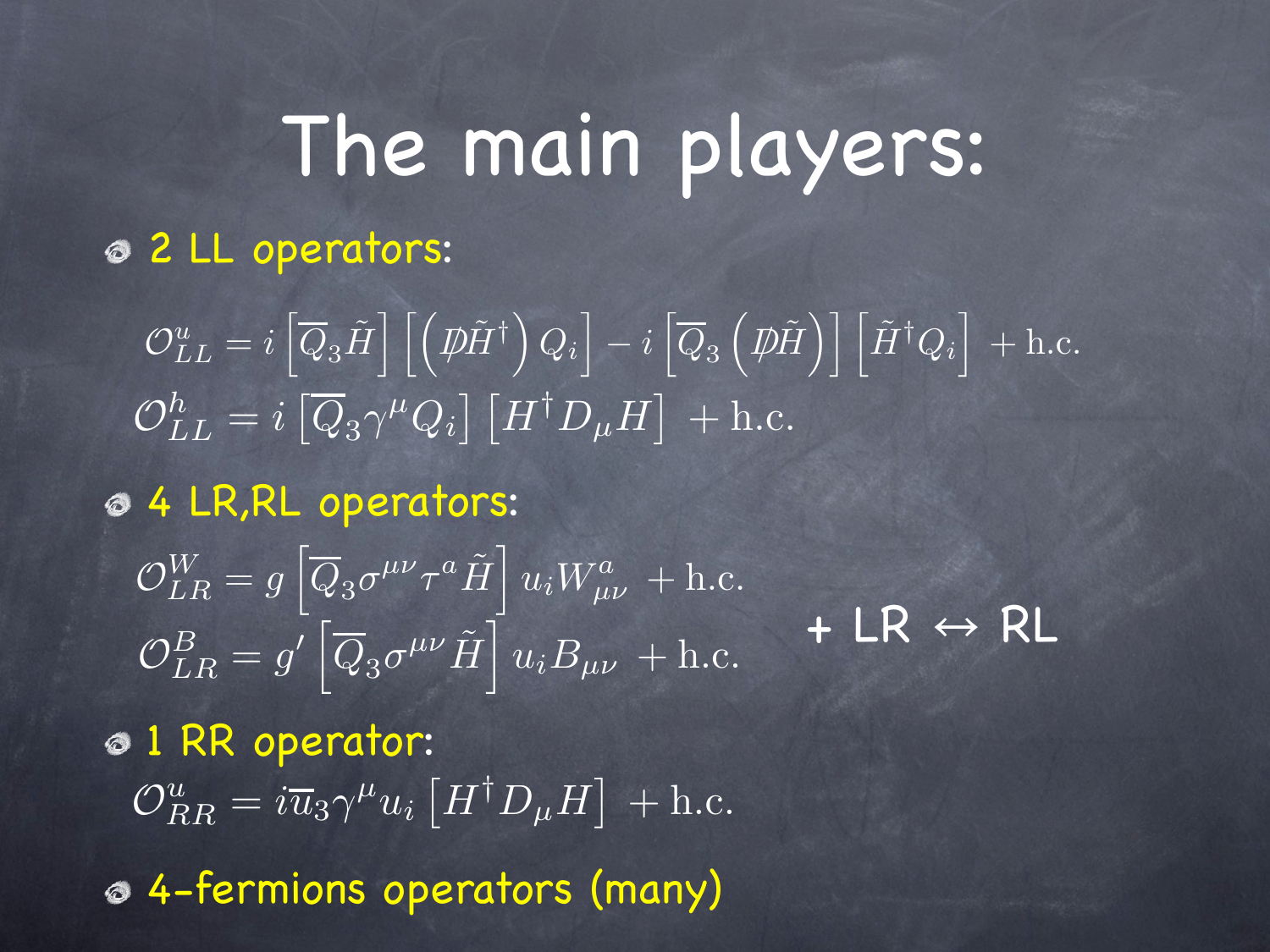## The main players:

2 LL operators:

 $L_{LL}^{u} = i \left[ \overline{Q}_{3}\tilde{H} \right] \left[ \left( \not{D}\tilde{H}^{\dagger} \right) \right]$  $Q_i$  $\rceil$   $i$   $\lceil$  $\overline{Q}_3$  $\left( \vec{p} \right)$   $\left[ \tilde{H}^{\dagger} Q_i \right]$  $+$  h.c.  $\mathcal{O}_{LL}^h=i\left[\overline{Q}_3\gamma^\mu Q_i\right]\left[H^\dagger D_\mu H\right]\, +\text{h.c.}$ 

4 LR,RL operators:

 $\begin{align} &\mathcal{O}^u_{LL} = i\left[\overline{Q}_3\tilde{H}\right]\left[\left(p\tilde{H}^\dagger\right)Q_i\right] - i\left[\overline{Q}_3\right]\ &\mathcal{O}^h_{LL} = i\left[\overline{Q}_3\gamma^\mu Q_i\right]\left[H^\dagger D_\mu H\right] \ + \ \mathsf{4}\ \textsf{LR,RL}\ \textsf{operators:}\ &\mathcal{O}^W_{LR} = g^\prime\left[\overline{Q}_3\sigma^{\mu\nu}\tau^a\tilde{H}\right]u_iW^a_{\mu\nu} + \text{h.} \ &\mathcal{O}^B_{LR} = g^\prime\left$  $\mathcal{O}_{LR}^W = g \left[ \overline{Q}_3 \sigma^{\mu\nu} \tau^a \tilde{H} \right] u_i W^a_{\mu\nu} + \text{h.c.}$  $\mathcal{O}_{LR}^{B}=g^{\prime}\left[\overline{Q}_{3}\sigma^{\mu\nu}\tilde{H}\right]u_{i}B_{\mu\nu}+\mathrm{h.c.}$  $+ LR \leftrightarrow R L$ 

1 RR operator:  $\mathcal{O}_{RR}^u = i \overline{u}_3 \gamma^\mu u_i \left[ H^\dagger D_\mu H \right] \, + \text{h.c.}$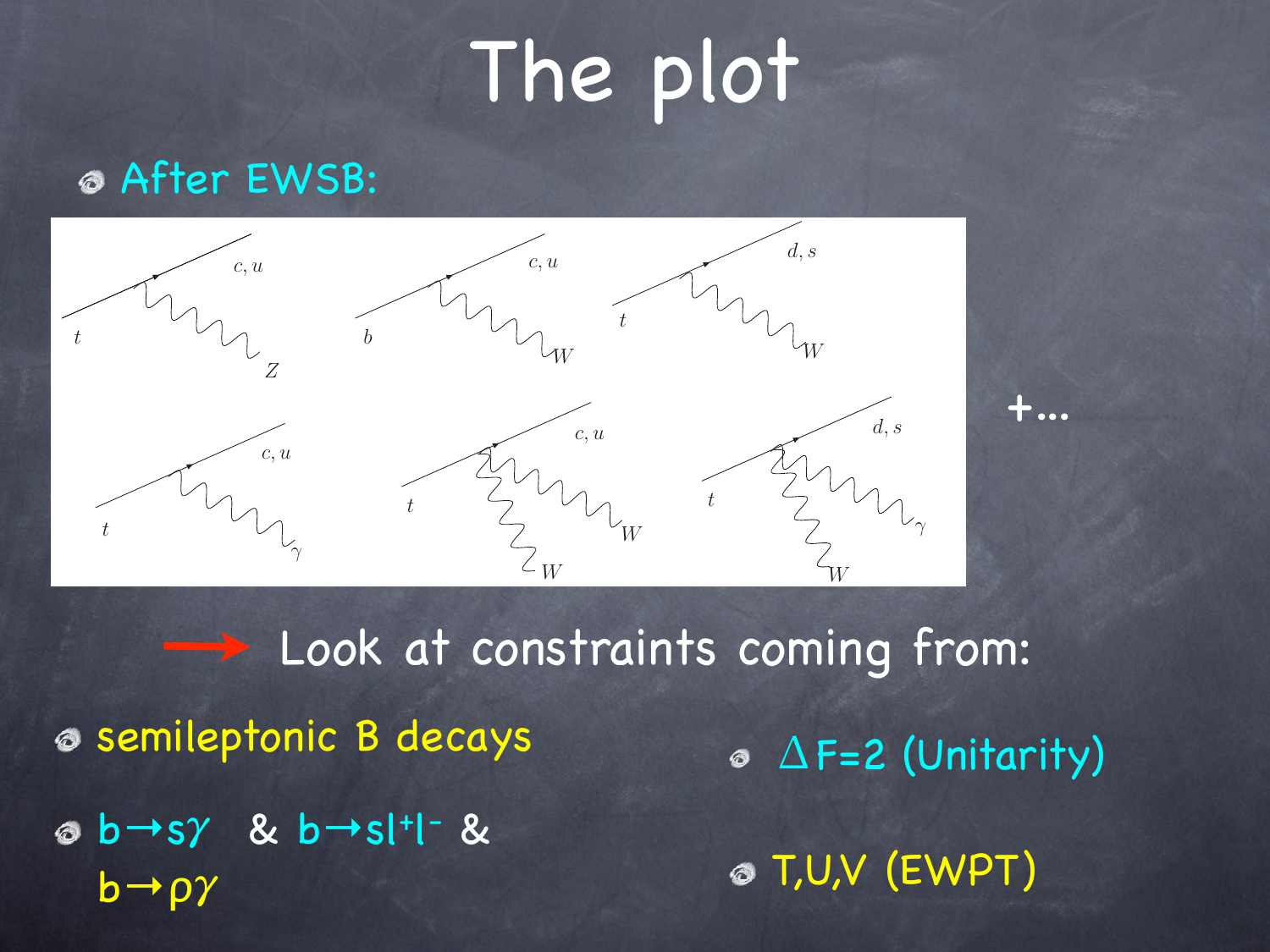# The plot

+...

#### After EWSB:



semileptonic B decays  $b \rightarrow s\gamma$  &  $b \rightarrow s$ |+|- &  $b \rightarrow \rho \gamma$  $\circ$   $\Delta$ F=2 (Unitarity) T,U,V (EWPT) **Look at constraints coming from:**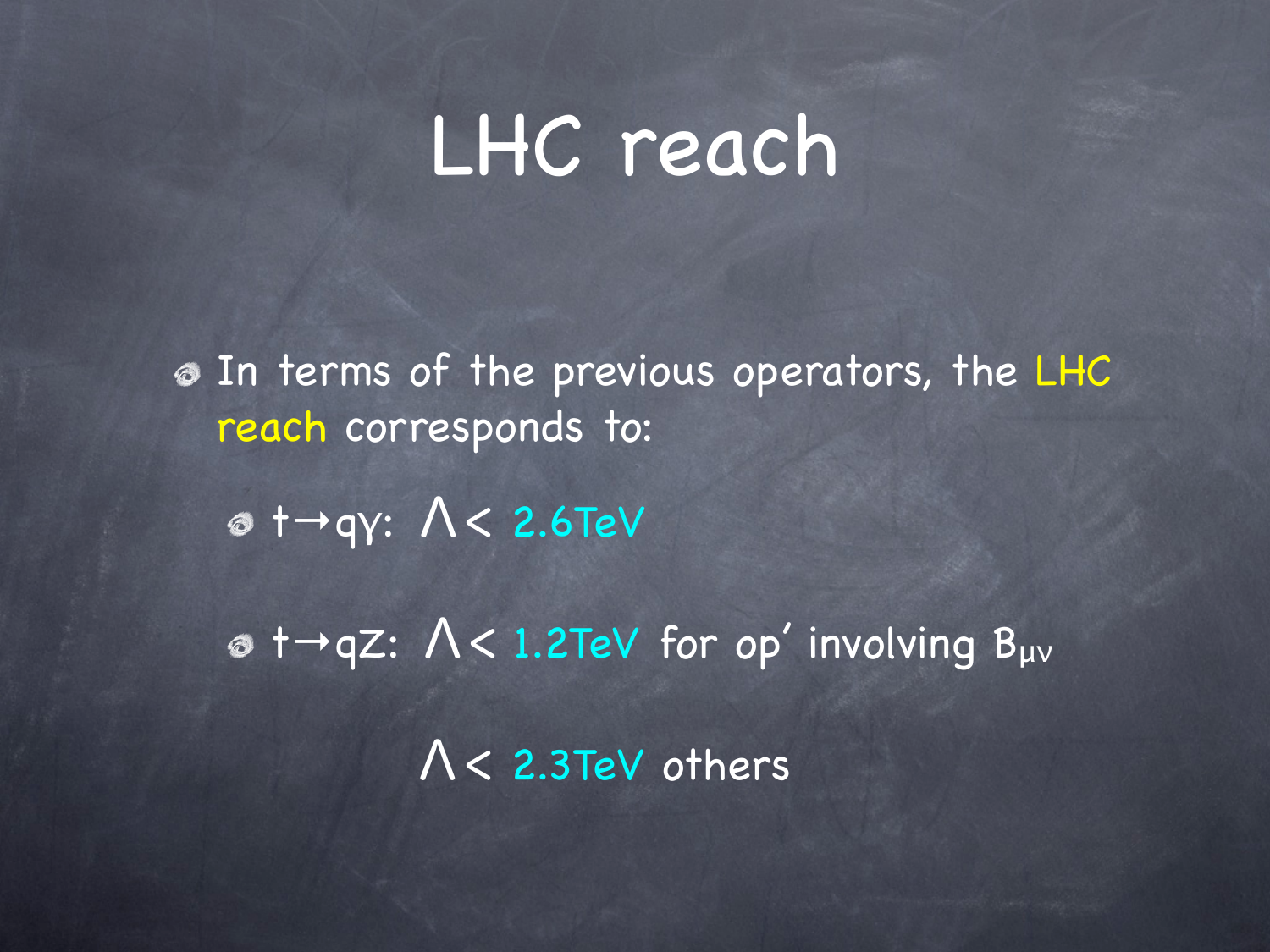### LHC reach

In terms of the previous operators, the LHC reach corresponds to:

t→qγ: Λ< 2.6TeV

 $\sigma$  t→qZ:  $\Lambda$ < 1.2TeV for op' involving B<sub>µv</sub> Λ< 2.3TeV others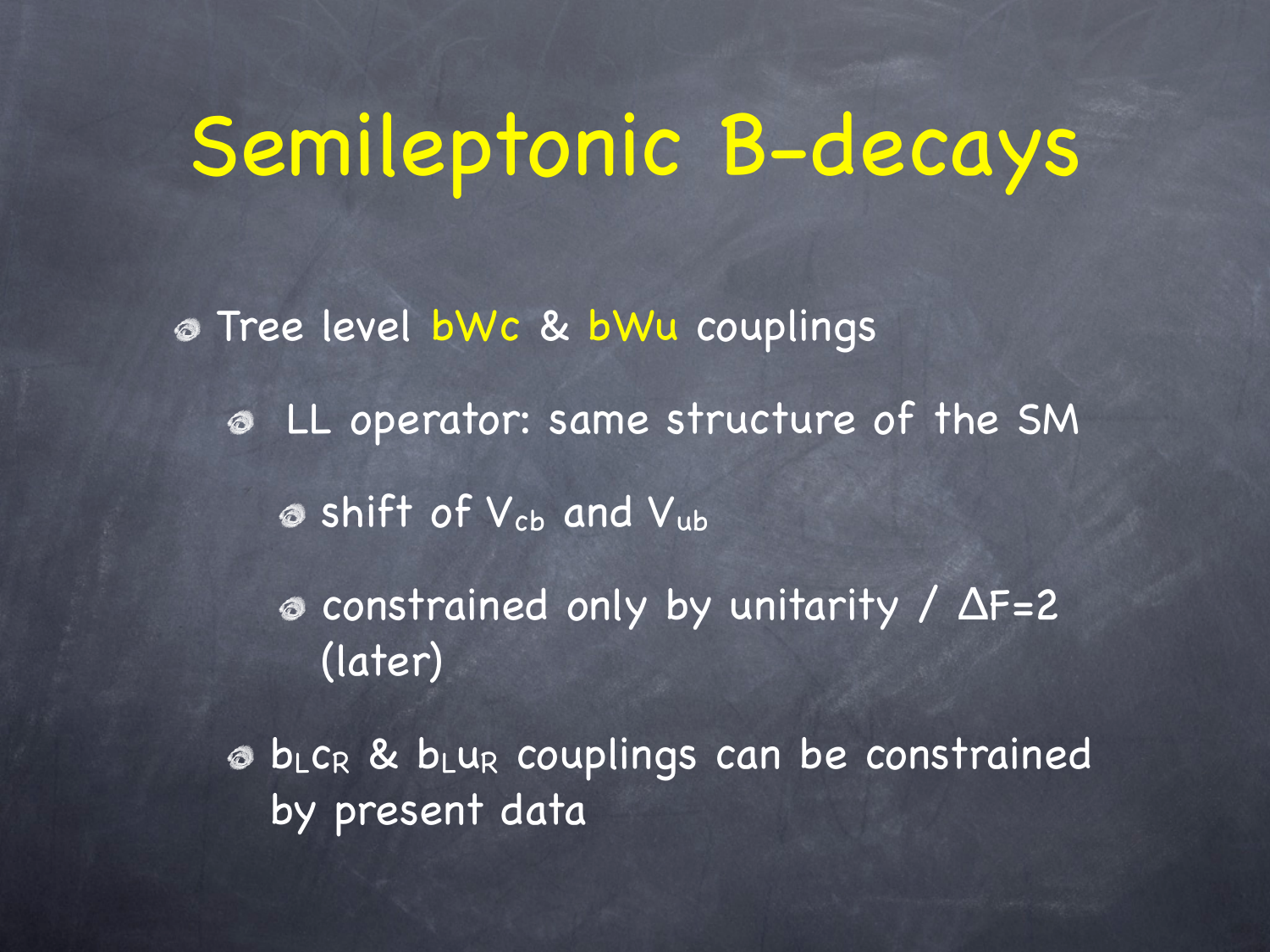## Semileptonic B-decays

Tree level bWc & bWu couplings LL operator: same structure of the SM  $\bullet$  shift of  $V_{cb}$  and  $V_{ub}$ constrained only by unitarity / ΔF=2 (later) bLcR & bLuR couplings can be constrained by present data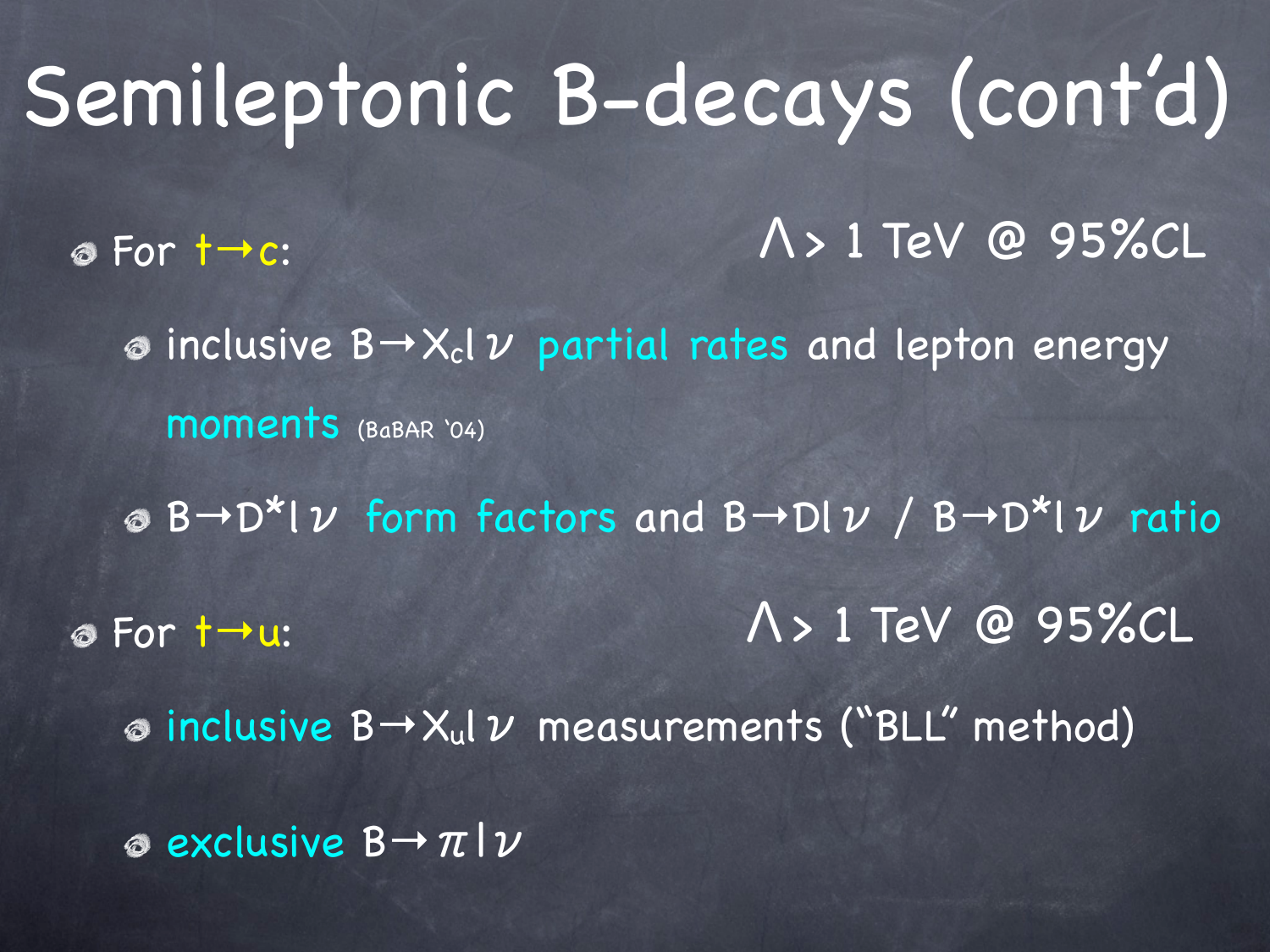Semileptonic B-decays (cont'd) For t→c:  $\omega$  inclusive B $\rightarrow$ X<sub>c</sub>l  $\nu$  partial rates and lepton energy moments (BaBAR '04)  $\circledcirc$  B→D\*l  $\nu$  form factors and B→Dl  $\nu$  / B→D\*l  $\nu$  ratio For t→u: inclusive B→Xulν measurements ("BLL" method) exclusive B→πlν Λ> 1 TeV @ 95%CL Λ> 1 TeV @ 95%CL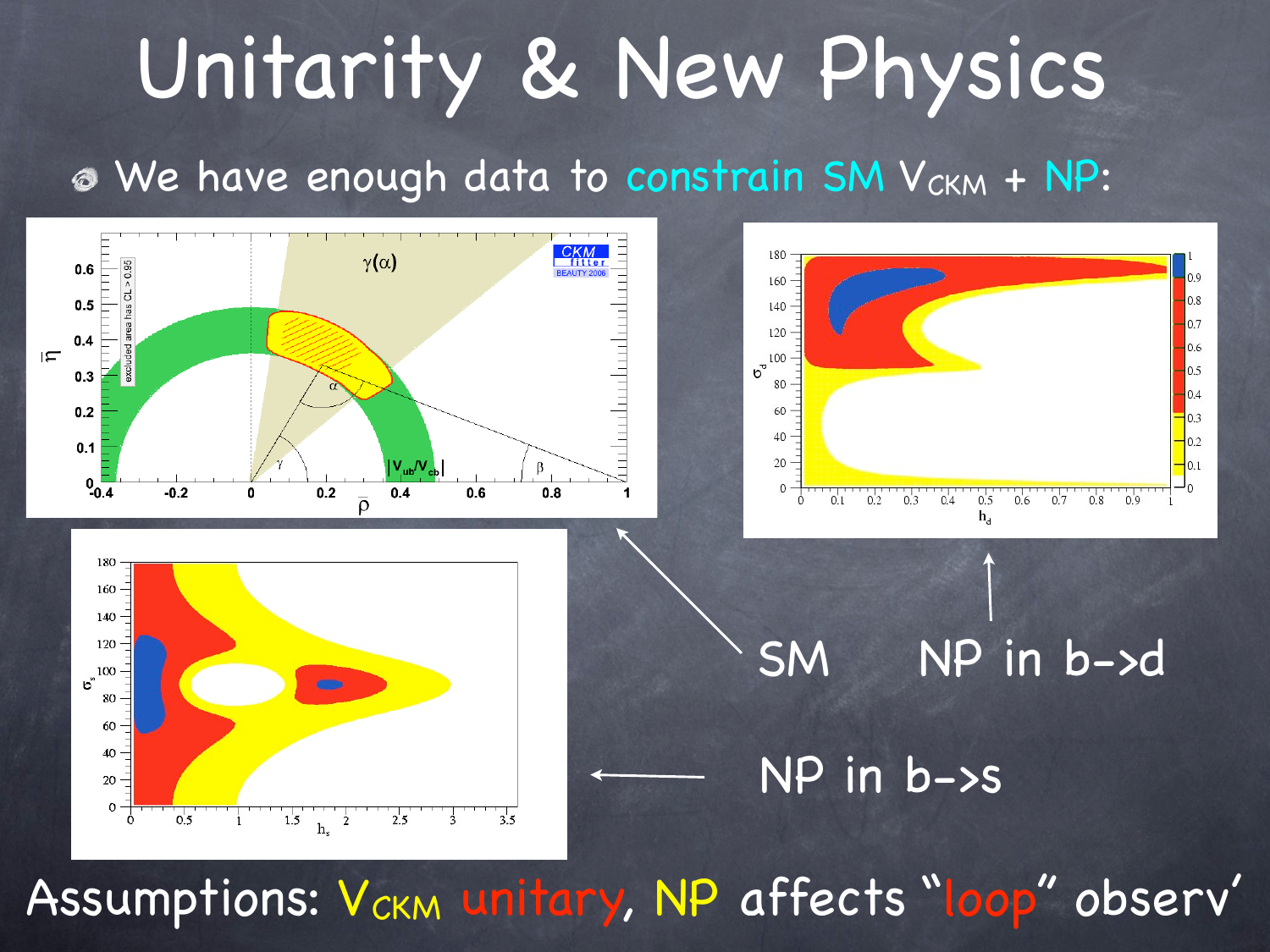# Unitarity & New Physics

#### $\bullet$  We have enough data to constrain SM V<sub>CKM</sub> + NP:



Assumptions: V<sub>ckM</sub> unitary, NP affects "loop" observ'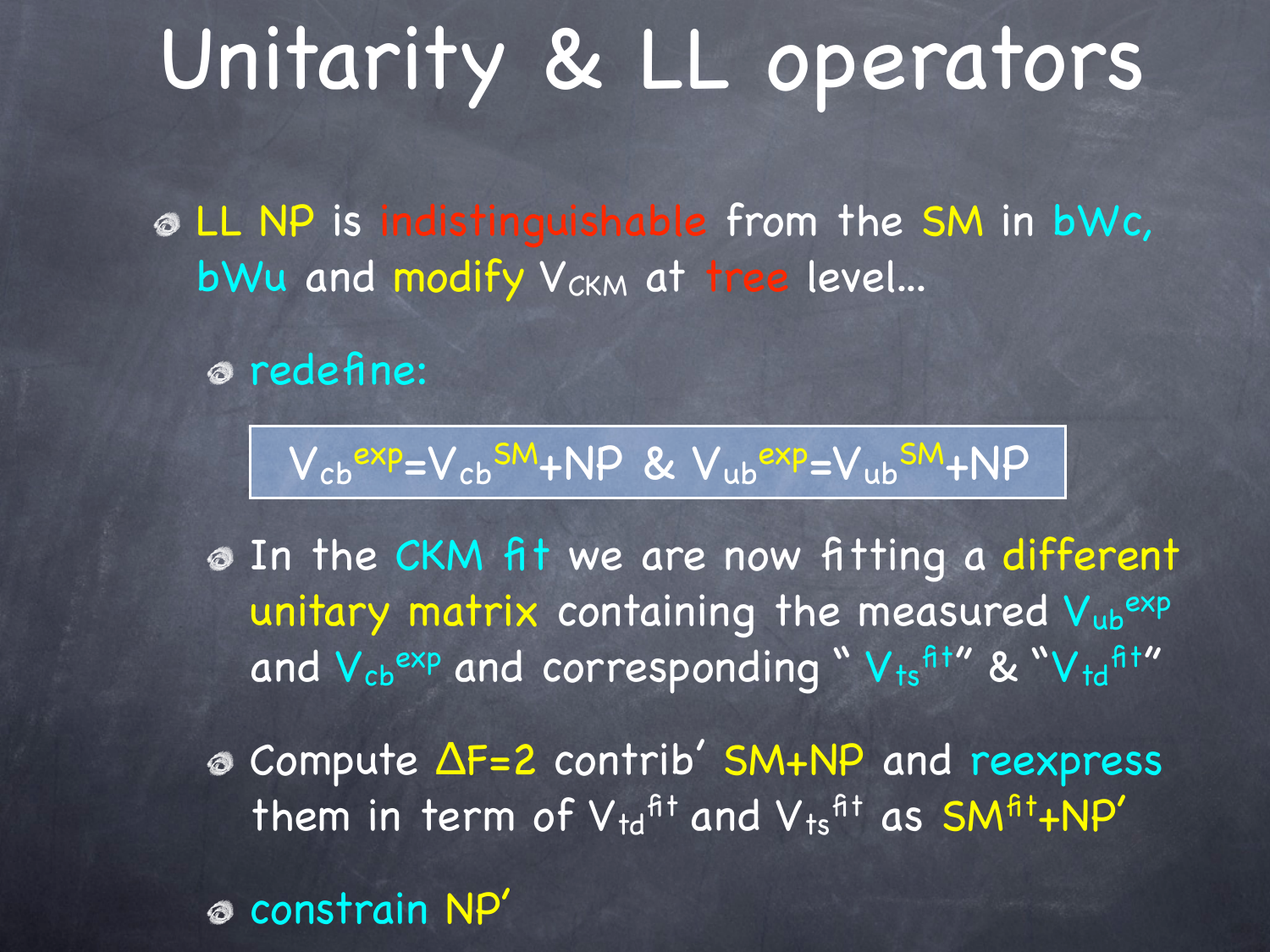## Unitarity & LL operators

LL NP is indistinguishable from the SM in bWc, bWu and modify V<sub>CKM</sub> at tree level...

redefine:

$$
V_{cb}^{exp}=V_{cb}^{SM}+NP \& V_{ub}^{exp}=V_{ub}^{SM}+NP
$$

In the CKM fit we are now fitting a different unitary matrix containing the measured Vubexp and  $V_{cb}$ <sup>exp</sup> and corresponding "  $V_{ts}$ <sup>fit"</sup> & " $V_{td}$ <sup>fit"</sup>

Compute ΔF=2 contrib' SM+NP and reexpress them in term of  $V_{td}$ <sup>fit</sup> and  $V_{ts}$ <sup>fit</sup> as SM<sup>fit</sup>+NP'

constrain NP'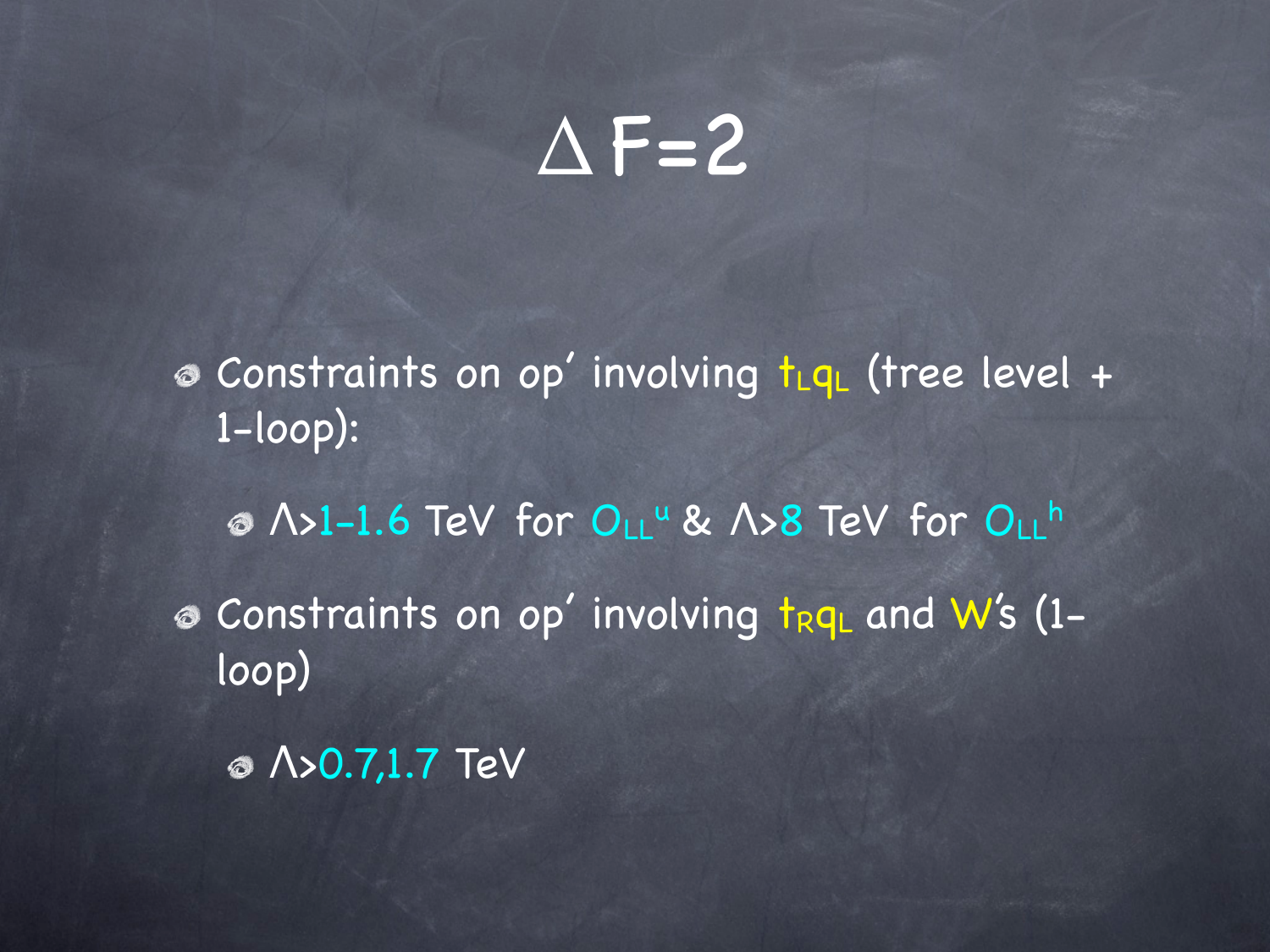### $\triangle$ F=2

<sup>®</sup> Constraints on op' involving t<sub>LqL</sub> (tree level + 1-loop): © Λ>1-1.6 TeV for O<sub>LL</sub><sup>u</sup> & Λ>8 TeV for O<sub>LL</sub>h

<sup>®</sup> Constraints on op' involving trqL and W's (1loop)

Λ>0.7,1.7 TeV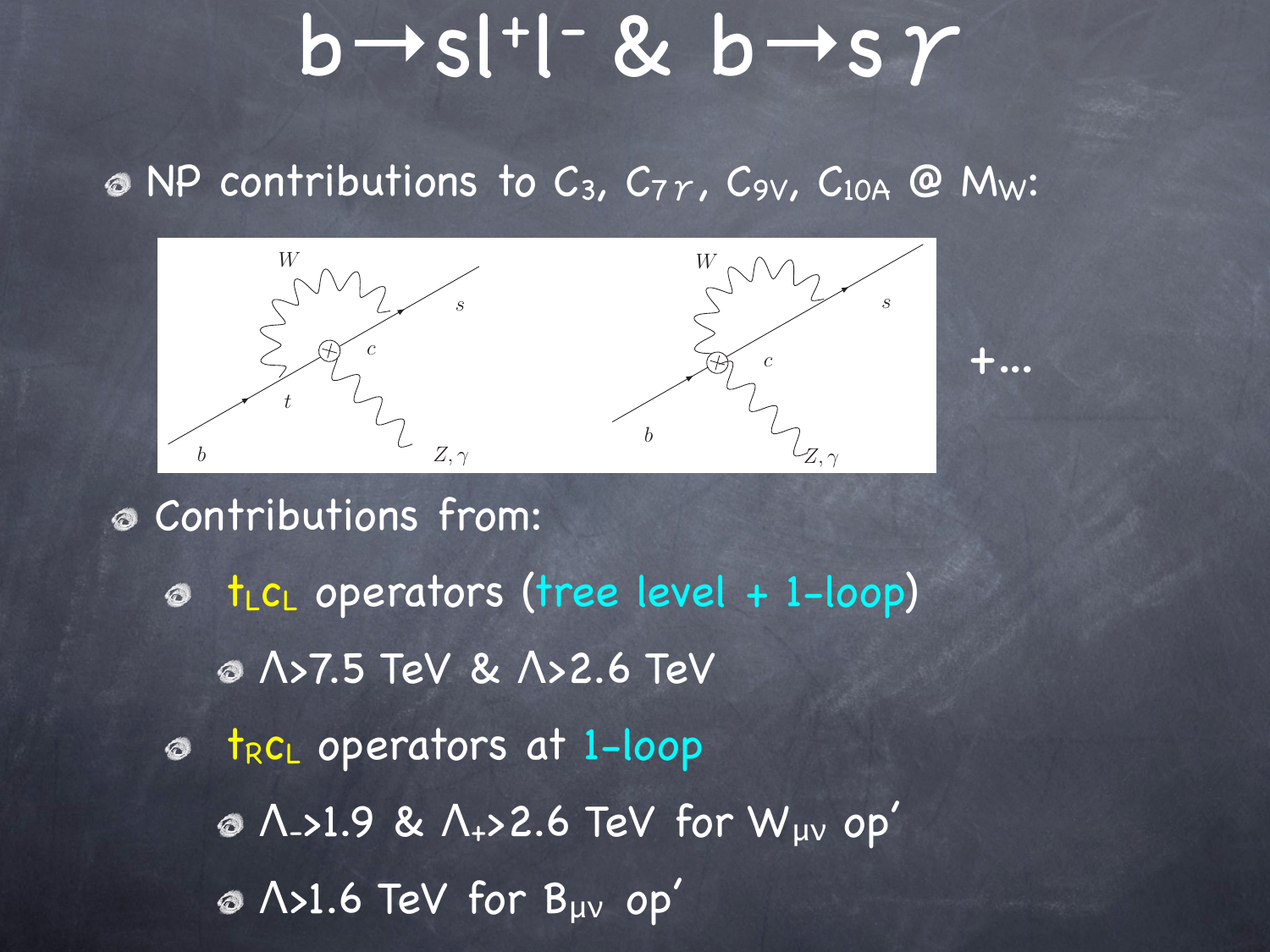# $b \rightarrow s$ l+l-&  $b \rightarrow s \gamma$

+...

 $\odot$  NP contributions to C<sub>3</sub>, C<sub>7</sub> $\gamma$ , C<sub>9V</sub>, C<sub>10A</sub> @ M<sub>W</sub>:



Contributions from:  $t_{L}c_{L}$  operators (tree level + 1-loop)  $\circledcirc$ Λ>7.5 TeV & Λ>2.6 TeV  $\bullet$  t<sub>R</sub>c<sub>L</sub> operators at 1-loop Λ->1.9 & Λ+>2.6 TeV for Wμν op' Λ>1.6 TeV for Bμν op'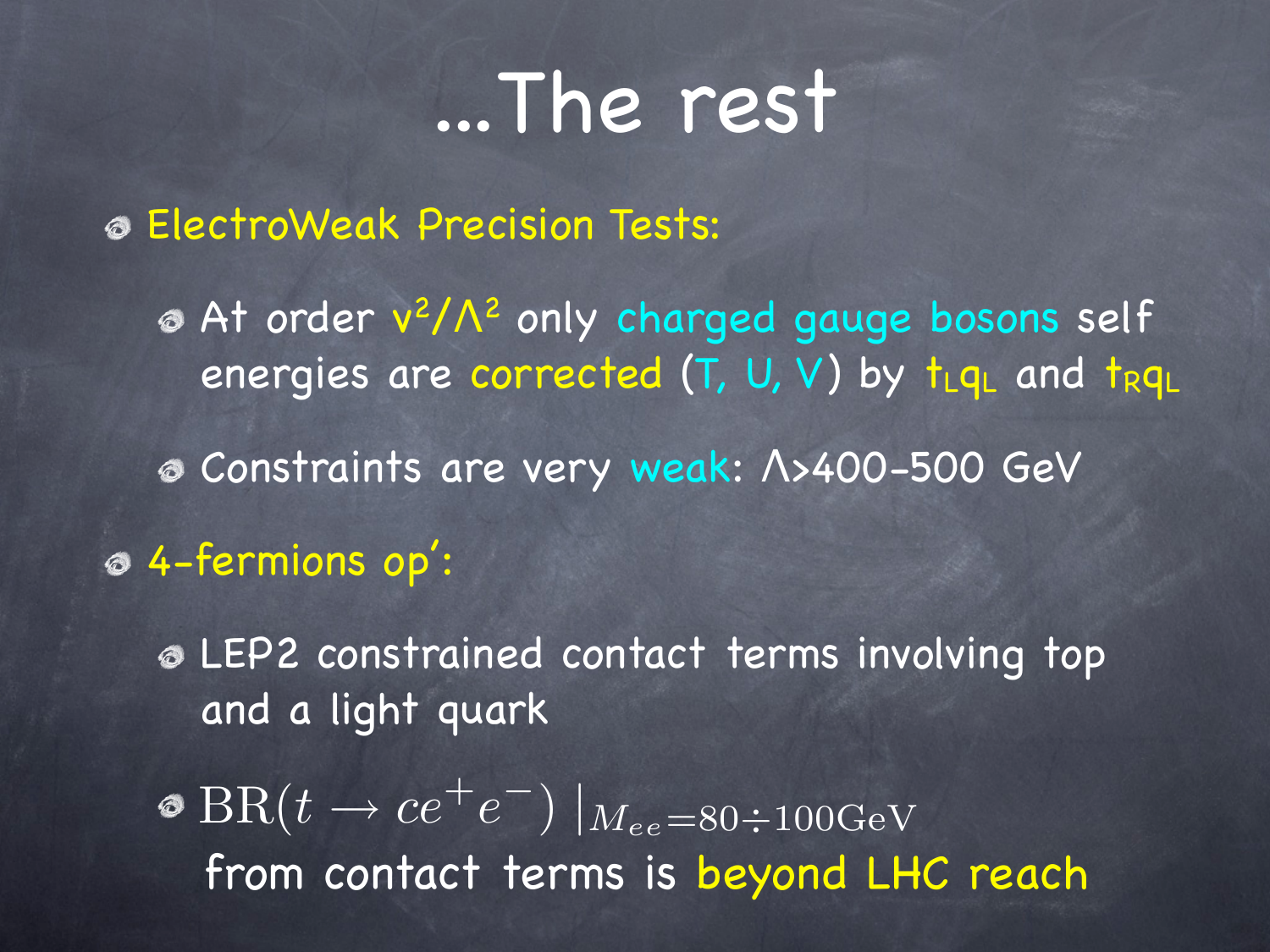### ...The rest

ElectroWeak Precision Tests:

At order v2/Λ2 only charged gauge bosons self energies are corrected  $(T, U, V)$  by  $t_{L}q_{L}$  and  $t_{R}q_{L}$ 

Constraints are very weak: Λ>400-500 GeV

4-fermions op':

LEP2 constrained contact terms involving top and a light quark

 $\Phi \ {\rm BR}(t \to c e^+ e^-)$   $\boxed{M_{ee} = 80 \div 100 {\rm GeV}}$ from contact terms is beyond LHC reach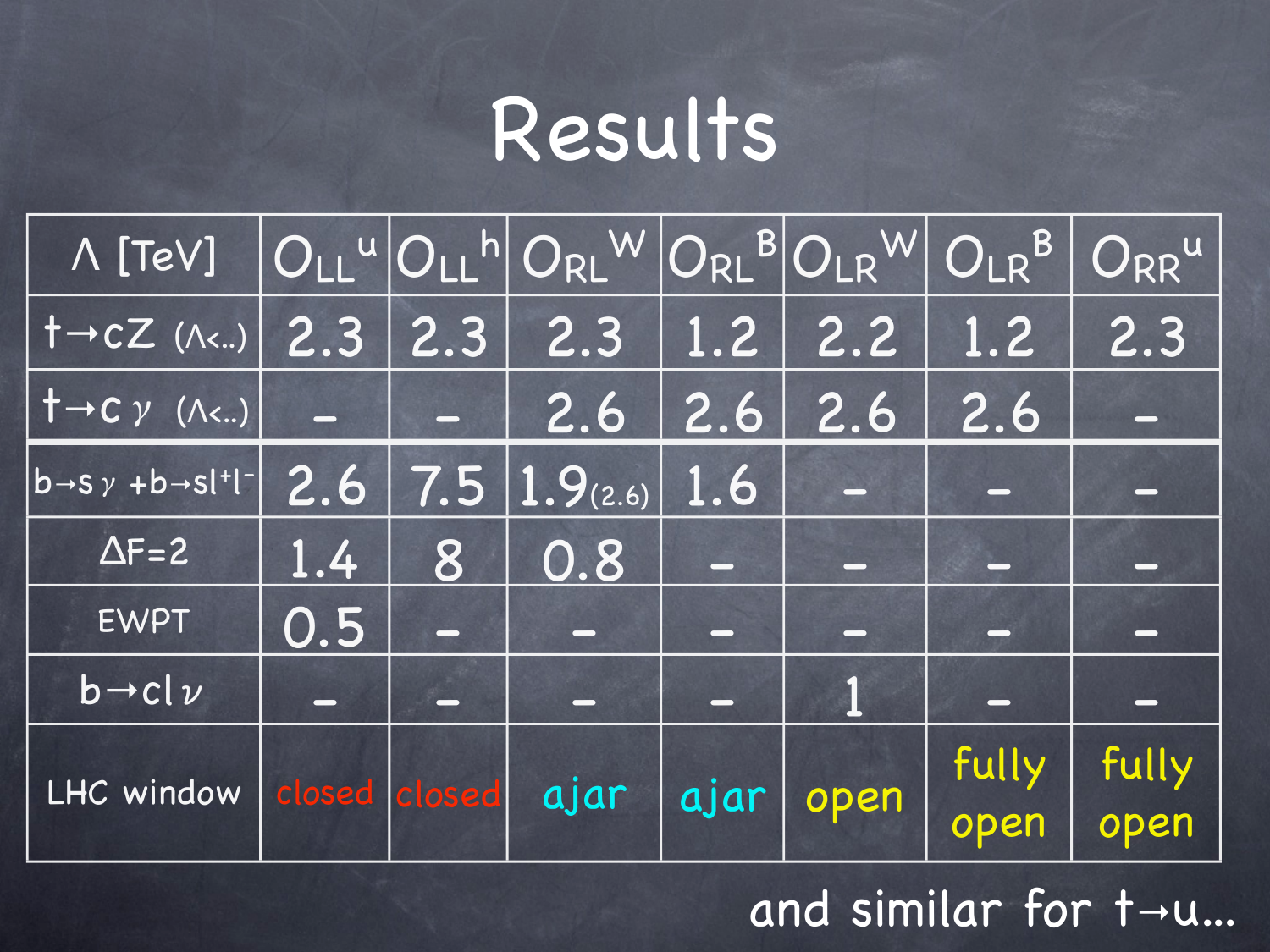## Results

| A [TeV] OLL <sup>U</sup> OLL <sup>h</sup> ORL WORL BOLR WOLR BORR U |                 |   |                        |     |           |                   |       |
|---------------------------------------------------------------------|-----------------|---|------------------------|-----|-----------|-------------------|-------|
| $ 1-CZ(N) $ 2.3 2.3 2.3                                             |                 |   |                        |     | $1.2$ 2.2 | $\vert 1.2 \vert$ | 2.3   |
| $\dagger \rightarrow C \gamma$ (A<)                                 |                 |   | 2.6                    | 2.6 | 2.6       | 2.6               |       |
| $\overline{b\rightarrow s\gamma+b\rightarrow s}$  + -               |                 |   | $2.6$ 7.5 1.9(2.6) 1.6 |     |           |                   |       |
| $\Delta F = 2$                                                      | 1.4             | 8 | 0.8                    |     |           |                   |       |
| <b>EWPT</b>                                                         | 0.5             |   |                        |     | <b>Ly</b> |                   |       |
| $b \rightarrow c l \nu$                                             | $\qquad \qquad$ |   |                        |     |           |                   |       |
| LHC window   closed   closed   ajar   ajar                          |                 |   |                        |     | open      | fully             | fully |
|                                                                     |                 |   |                        |     |           | open              | open  |

and similar for t→u...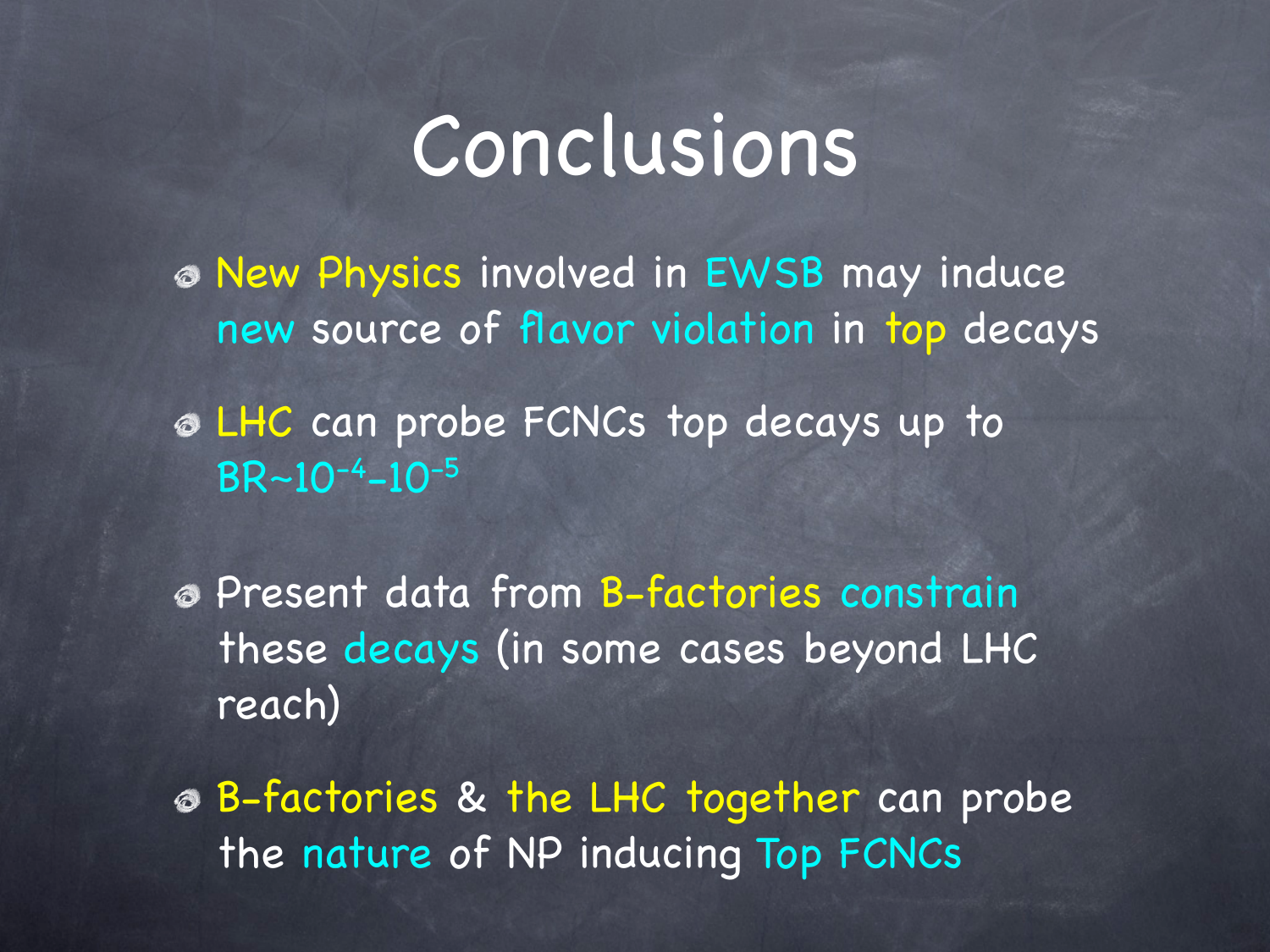### Conclusions

New Physics involved in EWSB may induce new source of flavor violation in top decays

LHC can probe FCNCs top decays up to  $BR - 10^{-4} - 10^{-5}$ 

Present data from B-factories constrain these decays (in some cases beyond LHC reach)

B-factories & the LHC together can probe the nature of NP inducing Top FCNCs